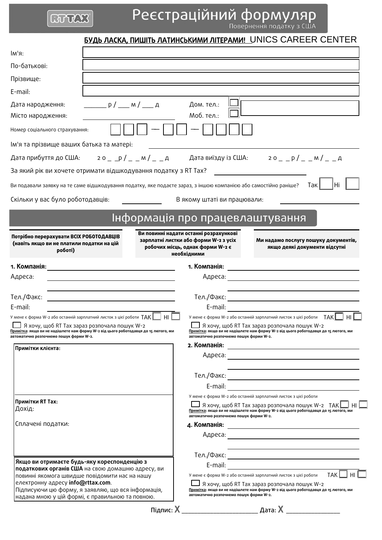# **GOVAX**

Реєстраційний формуляр

<u>БУДЬ ЛАСКА, ПИШІТЬ ЛАТИНСЬКИМИ ЛІТЕРАМИ! UNICS CAREER CENTER</u>

| lм'я:                                                                                                                                                                                                                        |                                                                                                                                                                                                             |
|------------------------------------------------------------------------------------------------------------------------------------------------------------------------------------------------------------------------------|-------------------------------------------------------------------------------------------------------------------------------------------------------------------------------------------------------------|
| По-батькові:                                                                                                                                                                                                                 |                                                                                                                                                                                                             |
| Прізвище:                                                                                                                                                                                                                    |                                                                                                                                                                                                             |
| E-mail:                                                                                                                                                                                                                      |                                                                                                                                                                                                             |
| $\frac{\rho}{\rho}$ $\frac{\rho}{\rho}$ $\frac{\rho}{\rho}$ $\frac{\rho}{\rho}$ $\frac{\rho}{\rho}$ $\frac{\rho}{\rho}$ $\frac{\rho}{\rho}$ $\frac{\rho}{\rho}$ $\frac{\rho}{\rho}$<br>Дата народження:<br>Місто народження: | Дом. тел.:<br>Моб. тел.:                                                                                                                                                                                    |
| Номер соціального страхування:                                                                                                                                                                                               |                                                                                                                                                                                                             |
| Ім'я та прізвище ваших батька та матері:                                                                                                                                                                                     |                                                                                                                                                                                                             |
|                                                                                                                                                                                                                              | Дата прибуття до США: 20_p/_m/_p/_A Дата виїзду із США: 20_p/_m/_A                                                                                                                                          |
| За який рік ви хочете отримати відшкодування податку з RT Tax?                                                                                                                                                               |                                                                                                                                                                                                             |
| Ви подавали заявку на те саме відшкодування податку, яке подаєте зараз, з іншою компанією або самостійно раніше?                                                                                                             | Hi<br>Tak l                                                                                                                                                                                                 |
| Скільки у вас було роботодавців:                                                                                                                                                                                             | В якому штаті ви працювали:                                                                                                                                                                                 |
|                                                                                                                                                                                                                              |                                                                                                                                                                                                             |
|                                                                                                                                                                                                                              | Інформація про працевлаштування                                                                                                                                                                             |
| Потрібно перерахувати ВСІХ РОБОТОДАВЦІВ<br>(навіть якщо ви не платили податки на цій<br>роботі)                                                                                                                              | Ви повинні надати останні розрахункові<br>зарплатні листки або форми W-2 з усіх<br>Ми надамо послугу пошуку документів,<br>робочих місць, однак форми W-2 є<br>якщо деякі документи відсутні<br>необхідними |
|                                                                                                                                                                                                                              |                                                                                                                                                                                                             |
| Адреса:                                                                                                                                                                                                                      |                                                                                                                                                                                                             |
|                                                                                                                                                                                                                              |                                                                                                                                                                                                             |
| Тел./Факс:<br><u> 1989 - Johann Barbara, martxa alemaniar a</u><br>E-mail:                                                                                                                                                   | E-mail:                                                                                                                                                                                                     |
| У мене є форма W-2 або останній зарплатний листок з цієї роботи $TAK$ $\Box$ HI                                                                                                                                              | У мене є форма W-2 або останній зарплатний листок з цієї роботи $TAK$<br>H <sub>II</sub>                                                                                                                    |
| □ Я хочу, щоб RT Тах зараз розпочала пошук W-2<br>Примітка: якщо ви не надішлете нам форму W-2 від цього роботодавця до 15 лютого, ми<br>автоматично розпочнемо пошук форми W-2.                                             | __] Я хочу, щоб RT Тах зараз розпочала пошук W-2<br>Примітка: якщо ви не надішлете нам форму W-2 від цього роботодавця до 15 лютого, ми<br>автоматично розпочнемо пошук форми W-2.                          |
| Примітки клієнта:                                                                                                                                                                                                            |                                                                                                                                                                                                             |
|                                                                                                                                                                                                                              |                                                                                                                                                                                                             |
|                                                                                                                                                                                                                              |                                                                                                                                                                                                             |
|                                                                                                                                                                                                                              |                                                                                                                                                                                                             |
| Примітки RT Тах:                                                                                                                                                                                                             | У мене є форма W-2 або останній зарплатний листок з цієї роботи                                                                                                                                             |
| Дохід:                                                                                                                                                                                                                       | Я хочу, щоб RT Тах зараз розпочала пошук W-2 ТАК  <br>Примітка: якщо ви не надішлете нам форму W-2 від цього роботодавця до 15 лютого, ми<br>автоматично розпочнемо пошук форми W-2.                        |
| Сплачені податки:                                                                                                                                                                                                            |                                                                                                                                                                                                             |
|                                                                                                                                                                                                                              |                                                                                                                                                                                                             |
|                                                                                                                                                                                                                              | <u> 1989 - Johann Stein, marwolaethau a bhann an t-Amhair an t-Amhair an t-Amhair an t-Amhair an t-Amhair an t-A</u>                                                                                        |
| Якщо ви отримаєте будь-яку кореспонденцію з                                                                                                                                                                                  | E-mail: <u>__________________________________</u>                                                                                                                                                           |
| податкових органів США на свою домашню адресу, ви<br>повинні якомога швидше повідомити нас на нашу                                                                                                                           | TAK <sup>I</sup><br>H <sub>II</sub><br>У мене є форма W-2 або останній зарплатний листок з цієї роботи                                                                                                      |
| електронну адресу info@rttax.com.<br>Підписуючи цю форму, я заявляю, що вся інформація,<br>надана мною у цій формі, є правильною та повною.                                                                                  | Я хочу, щоб RT Тах зараз розпочала пошук W-2<br>Примітка: якщо ви не надішлете нам форму W-2 від цього роботодавця до 15 лютого, ми<br>автоматично розпочнемо пошук форми W-2.                              |
|                                                                                                                                                                                                                              |                                                                                                                                                                                                             |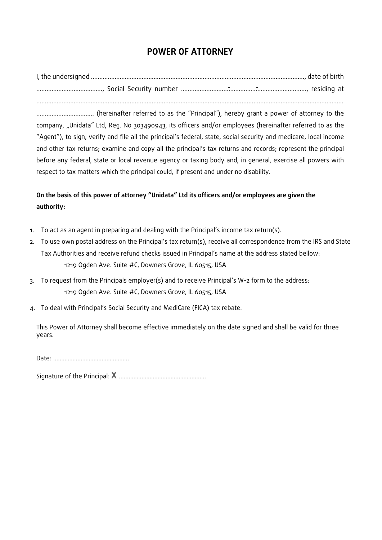# **POWER OF ATTORNEY**

I, the undersigned ……………..……..……..……...................................……………………………..................., date of birth ………………….......……..…, Social Security number ....………................………………………………........., residing at - -.....................................................................................................................................................................................

…………...................... (hereinafter referred to as the "Principal"), hereby grant a power of attorney to the company, "Unidata" Ltd, Reg. No 303490943, its officers and/or employees (hereinafter referred to as the "Agent"), to sign, verify and file all the principal's federal, state, social security and medicare, local income and other tax returns; examine and copy all the principal's tax returns and records; represent the principal before any federal, state or local revenue agency or taxing body and, in general, exercise all powers with respect to tax matters which the principal could, if present and under no disability.

# **On the basis of this power of attorney "Unidata" Ltd its officers and/or employees are given the authority:**

- 1. To act as an agent in preparing and dealing with the Principal's income tax return(s).
- 2. To use own postal address on the Principal's tax return(s), receive all correspondence from the IRS and State Tax Authorities and receive refund checks issued in Principal's name at the address stated bellow: 1219 Ogden Ave. Suite #C, Downers Grove, IL 60515, USA
- 3. To request from the Principals employer(s) and to receive Principal's W-2 form to the address: 1219 Ogden Ave. Suite #C, Downers Grove, IL 60515, USA
- 4. To deal with Principal's Social Security and MediCare (FICA) tax rebate.

This Power of Attorney shall become effective immediately on the date signed and shall be valid for three years.

Date: ..…..…...……………..………..……

Signature of the Principal: **X** ………………………………………………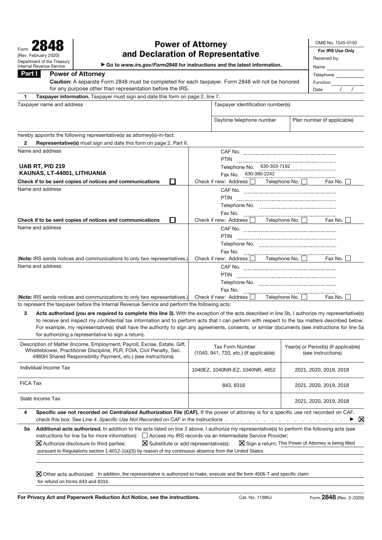| (Rev. February 2020)<br>Department of the Treasury<br><b>Internal Revenue Service</b>                                                                                                               | OMB No. 1545-0150<br><b>Power of Attorney</b><br>For IRS Use Only<br>and Declaration of Representative<br>Received by:<br>Go to www.irs.gov/Form2848 for instructions and the latest information.<br>Name |
|-----------------------------------------------------------------------------------------------------------------------------------------------------------------------------------------------------|-----------------------------------------------------------------------------------------------------------------------------------------------------------------------------------------------------------|
| Part I<br><b>Power of Attorney</b><br>Caution: A separate Form 2848 must be completed for each taxpayer. Form 2848 will not be honored<br>for any purpose other than representation before the IRS. | Telephone<br>Function<br>Date                                                                                                                                                                             |
| Taxpayer information. Taxpayer must sign and date this form on page 2, line 7.<br>1                                                                                                                 |                                                                                                                                                                                                           |
| Taxpayer name and address                                                                                                                                                                           | Taxpayer identification number(s)                                                                                                                                                                         |
|                                                                                                                                                                                                     | Plan number (if applicable)<br>Daytime telephone number                                                                                                                                                   |
| hereby appoints the following representative(s) as attorney(s)-in-fact:<br>Representative(s) must sign and date this form on page 2, Part II.<br>2                                                  |                                                                                                                                                                                                           |
| Name and address                                                                                                                                                                                    | <b>PTIN</b>                                                                                                                                                                                               |
| <b>UAB RT, P/D 219</b><br>KAUNAS, LT-44001, LITHUANIA                                                                                                                                               | Telephone No. 630-303-7192<br>Fax No. 630-390-2242                                                                                                                                                        |
| Check if to be sent copies of notices and communications<br>П                                                                                                                                       | Check if new: Address   Telephone No.  <br>Fax No. $\square$                                                                                                                                              |
| Name and address<br>П<br>Check if to be sent copies of notices and communications                                                                                                                   | <b>PTIN</b><br>Check if new: Address   Telephone No.   Fax No.                                                                                                                                            |
| Name and address                                                                                                                                                                                    | <b>PTIN</b>                                                                                                                                                                                               |
| (Note: IRS sends notices and communications to only two representatives.)                                                                                                                           | Fax No.<br>Check if new: Address $\Box$ Telephone No. $\Box$ Fax No. $\Box$                                                                                                                               |
| Name and address                                                                                                                                                                                    | Fax No.                                                                                                                                                                                                   |
| (Note: IRS sends notices and communications to only two representatives.)<br>to represent the taxpayer before the Internal Revenue Service and perform the following acts:                          | Telephone No. $\Box$ Fax No. $\Box$<br>Check if new: Address $\Box$                                                                                                                                       |

Acts authorized (you are required to complete this line 3). With the exception of the acts described in line 5b, I authorize my representative(s) to receive and inspect my confidential tax information and to perform acts that I can perform with respect to the tax matters described below. For example, my representative(s) shall have the authority to sign any agreements, consents, or similar documents (see instructions for line 5a for authorizing a representative to sign a return).

| Description of Matter (Income, Employment, Payroll, Excise, Estate, Gift,<br>Whistleblower, Practitioner Discipline, PLR, FOIA, Civil Penalty, Sec.<br>4980H Shared Responsibility Payment, etc.) (see instructions)                                                                                                                                                                                                                                                                                                                                                    |                                                                                                                                        | Tax Form Number<br>(1040, 941, 720, etc.) (if applicable) | Year(s) or Period(s) (if applicable)<br>(see instructions) |  |  |  |
|-------------------------------------------------------------------------------------------------------------------------------------------------------------------------------------------------------------------------------------------------------------------------------------------------------------------------------------------------------------------------------------------------------------------------------------------------------------------------------------------------------------------------------------------------------------------------|----------------------------------------------------------------------------------------------------------------------------------------|-----------------------------------------------------------|------------------------------------------------------------|--|--|--|
| Individual Income Tax                                                                                                                                                                                                                                                                                                                                                                                                                                                                                                                                                   |                                                                                                                                        | 1040EZ, 1040NR-EZ, 1040NR, 4852                           | 2021, 2020, 2019, 2018                                     |  |  |  |
| FICA Tax                                                                                                                                                                                                                                                                                                                                                                                                                                                                                                                                                                |                                                                                                                                        | 843, 8316                                                 | 2021, 2020, 2019, 2018                                     |  |  |  |
|                                                                                                                                                                                                                                                                                                                                                                                                                                                                                                                                                                         | State Income Tax                                                                                                                       |                                                           | 2021, 2020, 2019, 2018                                     |  |  |  |
| 4                                                                                                                                                                                                                                                                                                                                                                                                                                                                                                                                                                       | Specific use not recorded on Centralized Authorization File (CAF). If the power of attorney is for a specific use not recorded on CAF, |                                                           | ▶ ⊠                                                        |  |  |  |
| Additional acts authorized. In addition to the acts listed on line 3 above, I authorize my representative(s) to perform the following acts (see<br>5а<br>instructions for line 5a for more information): $\Box$ Access my IRS records via an Intermediate Service Provider;<br>$\boxtimes$ Substitute or add representative(s); $\boxtimes$ Sign a return; This Power of Attorney is being filled<br>$ \mathbf{X} $ Authorize disclosure to third parties;<br>pursuant to Regulations section 1-6012-1(a)(5) by reason of my continuous absence from the United States. |                                                                                                                                        |                                                           |                                                            |  |  |  |
|                                                                                                                                                                                                                                                                                                                                                                                                                                                                                                                                                                         |                                                                                                                                        |                                                           |                                                            |  |  |  |

Other acts authorized: In addition, the representative is authorized to make, execute and file form 4506-T and specific claim for refund on forms 843 and 8316.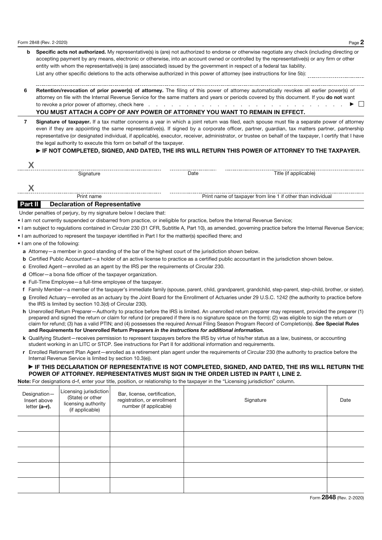- **b Specific acts not authorized.** My representative(s) is (are) not authorized to endorse or otherwise negotiate any check (including directing or accepting payment by any means, electronic or otherwise, into an account owned or controlled by the representative(s) or any firm or other entity with whom the representative(s) is (are) associated) issued by the government in respect of a federal tax liability. List any other specific deletions to the acts otherwise authorized in this power of attorney (see instructions for line 5b):
- **6 Retention/revocation of prior power(s) of attorney.** The filing of this power of attorney automatically revokes all earlier power(s) of attorney on file with the Internal Revenue Service for the same matters and years or periods covered by this document. If you **do not** want to revoke a prior power of attorney, check here .......................... a

#### **YOU MUST ATTACH A COPY OF ANY POWER OF ATTORNEY YOU WANT TO REMAIN IN EFFECT.**

**7 Signature of taxpayer.** If a tax matter concerns a year in which a joint return was filed, each spouse must file a separate power of attorney even if they are appointing the same representative(s). If signed by a corporate officer, partner, guardian, tax matters partner, partnership representative (or designated individual, if applicable), executor, receiver, administrator, or trustee on behalf of the taxpayer, I certify that I have the legal authority to execute this form on behalf of the taxpayer.

#### **FIF NOT COMPLETED, SIGNED, AND DATED, THE IRS WILL RETURN THIS POWER OF ATTORNEY TO THE TAXPAYER.**

Signature Date Title (if applicable)

Print name Print name of taxpayer from line 1 if other than individual

#### **Part II Declaration of Representative**

Under penalties of perjury, by my signature below I declare that:

- I am not currently suspended or disbarred from practice, or ineligible for practice, before the Internal Revenue Service;
- I am subject to regulations contained in Circular 230 (31 CFR, Subtitle A, Part 10), as amended, governing practice before the Internal Revenue Service;
- I am authorized to represent the taxpayer identified in Part I for the matter(s) specified there; and
- I am one of the following:
	- **a** Attorney—a member in good standing of the bar of the highest court of the jurisdiction shown below.
	- **b** Certified Public Accountant—a holder of an active license to practice as a certified public accountant in the jurisdiction shown below.
	- **c** Enrolled Agent—enrolled as an agent by the IRS per the requirements of Circular 230.
	- **d** Officer—a bona fide officer of the taxpayer organization.
	- **e** Full-Time Employee—a full-time employee of the taxpayer.
	- **f** Family Member—a member of the taxpayer's immediate family (spouse, parent, child, grandparent, grandchild, step-parent, step-child, brother, or sister).
	- **g** Enrolled Actuary—enrolled as an actuary by the Joint Board for the Enrollment of Actuaries under 29 U.S.C. 1242 (the authority to practice before the IRS is limited by section 10.3(d) of Circular 230).
	- **h** Unenrolled Return Preparer—Authority to practice before the IRS is limited. An unenrolled return preparer may represent, provided the preparer (1) prepared and signed the return or claim for refund (or prepared if there is no signature space on the form); (2) was eligible to sign the return or claim for refund; (3) has a valid PTIN; and (4) possesses the required Annual Filing Season Program Record of Completion(s). *See* **Special Rules and Requirements for Unenrolled Return Preparers** *in the instructions for additional information.*
	- **k** Qualifying Student—receives permission to represent taxpayers before the IRS by virtue of his/her status as a law, business, or accounting student working in an LITC or STCP. See instructions for Part II for additional information and requirements.
	- **r** Enrolled Retirement Plan Agent—enrolled as a retirement plan agent under the requirements of Circular 230 (the authority to practice before the Internal Revenue Service is limited by section 10.3(e)).

#### **FIFTHIS DECLARATION OF REPRESENTATIVE IS NOT COMPLETED, SIGNED, AND DATED, THE IRS WILL RETURN THE POWER OF ATTORNEY. REPRESENTATIVES MUST SIGN IN THE ORDER LISTED IN PART I, LINE 2.**

**Note:** For designations d–f, enter your title, position, or relationship to the taxpayer in the "Licensing jurisdiction" column.

| Designation-<br>Insert above<br>letter (a-r). | Licensing jurisdiction<br>(State) or other<br>licensing authority<br>(if applicable) | Bar, license, certification,<br>registration, or enrollment<br>number (if applicable) | Signature | Date |
|-----------------------------------------------|--------------------------------------------------------------------------------------|---------------------------------------------------------------------------------------|-----------|------|
|                                               |                                                                                      |                                                                                       |           |      |
|                                               |                                                                                      |                                                                                       |           |      |
|                                               |                                                                                      |                                                                                       |           |      |
|                                               |                                                                                      |                                                                                       |           |      |
|                                               |                                                                                      |                                                                                       |           |      |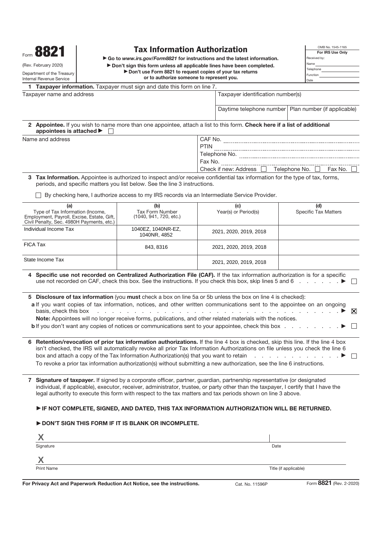| 882<br>(Rev. February 2020)<br>Department of the Treasury<br><b>Internal Revenue Service</b>                                       | OMB No. 1545-1165<br><b>Tax Information Authorization</b><br>For IRS Use Only<br>Go to www.irs.gov/Form8821 for instructions and the latest information.<br>Received by:<br>Name<br>Don't sign this form unless all applicable lines have been completed.<br>Telephone<br>Don't use Form 8821 to request copies of your tax returns<br>Function<br>or to authorize someone to represent you.<br>Date                                                                                 |             |                                                        |                                    |         |   |
|------------------------------------------------------------------------------------------------------------------------------------|--------------------------------------------------------------------------------------------------------------------------------------------------------------------------------------------------------------------------------------------------------------------------------------------------------------------------------------------------------------------------------------------------------------------------------------------------------------------------------------|-------------|--------------------------------------------------------|------------------------------------|---------|---|
|                                                                                                                                    | 1 Taxpayer information. Taxpayer must sign and date this form on line 7.                                                                                                                                                                                                                                                                                                                                                                                                             |             |                                                        |                                    |         |   |
| Taxpayer name and address                                                                                                          |                                                                                                                                                                                                                                                                                                                                                                                                                                                                                      |             | Taxpayer identification number(s)                      |                                    |         |   |
|                                                                                                                                    |                                                                                                                                                                                                                                                                                                                                                                                                                                                                                      |             | Daytime telephone number   Plan number (if applicable) |                                    |         |   |
| appointees is attached ▶                                                                                                           | 2 Appointee. If you wish to name more than one appointee, attach a list to this form. Check here if a list of additional                                                                                                                                                                                                                                                                                                                                                             |             |                                                        |                                    |         |   |
| Name and address                                                                                                                   |                                                                                                                                                                                                                                                                                                                                                                                                                                                                                      |             |                                                        |                                    |         |   |
|                                                                                                                                    |                                                                                                                                                                                                                                                                                                                                                                                                                                                                                      | <b>PTIN</b> |                                                        |                                    |         |   |
|                                                                                                                                    |                                                                                                                                                                                                                                                                                                                                                                                                                                                                                      |             |                                                        |                                    |         |   |
|                                                                                                                                    |                                                                                                                                                                                                                                                                                                                                                                                                                                                                                      |             | Check if new: Address $\Box$ Telephone No. $\Box$      |                                    | Fax No. |   |
|                                                                                                                                    | 3 Tax Information. Appointee is authorized to inspect and/or receive confidential tax information for the type of tax, forms,<br>periods, and specific matters you list below. See the line 3 instructions.                                                                                                                                                                                                                                                                          |             |                                                        |                                    |         |   |
|                                                                                                                                    | By checking here, I authorize access to my IRS records via an Intermediate Service Provider.                                                                                                                                                                                                                                                                                                                                                                                         |             |                                                        |                                    |         |   |
| (a)<br>Type of Tax Information (Income,<br>Employment, Payroll, Excise, Estate, Gift,<br>Civil Penalty, Sec. 4980H Payments, etc.) | (b)<br><b>Tax Form Number</b><br>(1040, 941, 720, etc.)                                                                                                                                                                                                                                                                                                                                                                                                                              |             | (c)<br>Year(s) or Period(s)                            | (d)<br><b>Specific Tax Matters</b> |         |   |
| Individual Income Tax                                                                                                              | 1040EZ, 1040NR-EZ,<br>1040NR, 4852                                                                                                                                                                                                                                                                                                                                                                                                                                                   |             | 2021, 2020, 2019, 2018                                 |                                    |         |   |
| <b>FICA Tax</b>                                                                                                                    | 843, 8316                                                                                                                                                                                                                                                                                                                                                                                                                                                                            |             | 2021, 2020, 2019, 2018                                 |                                    |         |   |
| State Income Tax                                                                                                                   |                                                                                                                                                                                                                                                                                                                                                                                                                                                                                      |             | 2021, 2020, 2019, 2018                                 |                                    |         |   |
|                                                                                                                                    | 4 Specific use not recorded on Centralized Authorization File (CAF). If the tax information authorization is for a specific<br>use not recorded on CAF, check this box. See the instructions. If you check this box, skip lines 5 and 6 ▶                                                                                                                                                                                                                                            |             |                                                        |                                    |         |   |
| basis, check this box                                                                                                              | 5 Disclosure of tax information (you must check a box on line 5a or 5b unless the box on line 4 is checked):<br>a If you want copies of tax information, notices, and other written communications sent to the appointee on an ongoing<br>Note: Appointees will no longer receive forms, publications, and other related materials with the notices.<br><b>b</b> If you don't want any copies of notices or communications sent to your appointee, check this box                    |             |                                                        |                                    |         | ⋈ |
|                                                                                                                                    | 6 Retention/revocation of prior tax information authorizations. If the line 4 box is checked, skip this line. If the line 4 box<br>isn't checked, the IRS will automatically revoke all prior Tax Information Authorizations on file unless you check the line 6<br>box and attach a copy of the Tax Information Authorization(s) that you want to retain<br>To revoke a prior tax information authorization(s) without submitting a new authorization, see the line 6 instructions. |             |                                                        | and a state of the state of        |         |   |
|                                                                                                                                    | 7 Signature of taxpayer. If signed by a corporate officer, partner, guardian, partnership representative (or designated<br>individual, if applicable), executor, receiver, administrator, trustee, or party other than the taxpayer, I certify that I have the<br>legal authority to execute this form with respect to the tax matters and tax periods shown on line 3 above.                                                                                                        |             |                                                        |                                    |         |   |
|                                                                                                                                    | IF NOT COMPLETE, SIGNED, AND DATED, THIS TAX INFORMATION AUTHORIZATION WILL BE RETURNED.                                                                                                                                                                                                                                                                                                                                                                                             |             |                                                        |                                    |         |   |
|                                                                                                                                    | DON'T SIGN THIS FORM IF IT IS BLANK OR INCOMPLETE.                                                                                                                                                                                                                                                                                                                                                                                                                                   |             |                                                        |                                    |         |   |
|                                                                                                                                    |                                                                                                                                                                                                                                                                                                                                                                                                                                                                                      |             |                                                        |                                    |         |   |
| Χ                                                                                                                                  |                                                                                                                                                                                                                                                                                                                                                                                                                                                                                      |             |                                                        |                                    |         |   |
| Signature                                                                                                                          |                                                                                                                                                                                                                                                                                                                                                                                                                                                                                      |             | Date                                                   |                                    |         |   |
| Χ                                                                                                                                  |                                                                                                                                                                                                                                                                                                                                                                                                                                                                                      |             |                                                        |                                    |         |   |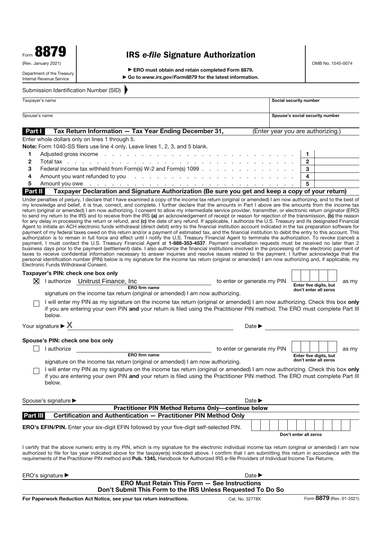|                   | oo<br>΄ Λ |  |
|-------------------|-----------|--|
| Form $\mathbf{u}$ | 10 I      |  |

(Rev. January 2021)

### **IRS** *e-file* **Signature Authorization**

OMB No. 1545-0074

Department of the Treasury Internal Revenue Service

▶ ERO must obtain and retain completed Form 8879. ▶ Go to *www.irs.gov/Form8879* for the latest information.

Submission Identification Number (SID)

|               | Taxpayer's name                                                                                                                                                                                                                | Social security number            |
|---------------|--------------------------------------------------------------------------------------------------------------------------------------------------------------------------------------------------------------------------------|-----------------------------------|
|               | Spouse's name                                                                                                                                                                                                                  | Spouse's social security number   |
| <b>Part I</b> | Tax Return Information - Tax Year Ending December 31,                                                                                                                                                                          | (Enter year you are authorizing.) |
|               | Enter whole dollars only on lines 1 through 5.                                                                                                                                                                                 |                                   |
|               | <b>Note:</b> Form 1040-SS filers use line 4 only. Leave lines 1, 2, 3, and 5 blank.                                                                                                                                            |                                   |
|               | Adjusted gross income by contact the contract of the contract of the contract of the contract of the contract of the contract of the contract of the contract of the contract of the contract of the contract of the contract  |                                   |
| $\mathbf{2}$  |                                                                                                                                                                                                                                | $\mathbf{2}$                      |
| 3             |                                                                                                                                                                                                                                | 3                                 |
| 4             | Amount you want refunded to you referred to see the contract to the contract to the contract of the contract of the contract of the contract of the contract of the contract of the contract of the contract of the contract o | 4                                 |

#### **5** Amount you owe ............................ **5 Part II Taxpayer Declaration and Signature Authorization (Be sure you get and keep a copy of your return)**

Under penalties of perjury, I declare that I have examined a copy of the income tax return (original or amended) I am now authorizing, and to the best of my knowledge and belief, it is true, correct, and complete. I further declare that the amounts in Part I above are the amounts from the income tax return (original or amended) I am now authorizing. I consent to allow my intermediate service provider, transmitter, or electronic return originator (ERO) to send my return to the IRS and to receive from the IRS **(a)** an acknowledgement of receipt or reason for rejection of the transmission, **(b)** the reason for any delay in processing the return or refund, and **(c)** the date of any refund. If applicable, I authorize the U.S. Treasury and its designated Financial Agent to initiate an ACH electronic funds withdrawal (direct debit) entry to the financial institution account indicated in the tax preparation software for payment of my federal taxes owed on this return and/or a payment of estimated tax, and the financial institution to debit the entry to this account. This authorization is to remain in full force and effect until I notify the U.S. Treasury Financial Agent to terminate the authorization. To revoke (cancel) a payment, I must contact the U.S. Treasury Financial Agent at **1-888-353-4537**. Payment cancellation requests must be received no later than 2 business days prior to the payment (settlement) date. I also authorize the financial institutions involved in the processing of the electronic payment of taxes to receive confidential information necessary to answer inquiries and resolve issues related to the payment. I further acknowledge that the personal identification number (PIN) below is my signature for the income tax return (original or amended) I am now authorizing and, if applicable, my Electronic Funds Withdrawal Consent.

| Taxpayer's PIN: check one box only |                                   |                             |                                                 |  |  |
|------------------------------------|-----------------------------------|-----------------------------|-------------------------------------------------|--|--|
| ⋈                                  | I authorize Unitrust Finance, Inc | to enter or generate my PIN |                                                 |  |  |
|                                    | <b>ERO firm name</b>              |                             | Enter five digits, but<br>don't ontar all zaroc |  |  |

| Enter five digits, but<br>don't enter all zeros |  |  |  |  | as my |
|-------------------------------------------------|--|--|--|--|-------|

signature on the income tax return (original or amended) I am now authorizing.

I will enter my PIN as my signature on the income tax return (original or amended) I am now authorizing. Check this box **only**  if you are entering your own PIN **and** your return is filed using the Practitioner PIN method. The ERO must complete Part III below.

Your signature ▶ X<br>
Date ▶

#### **Spouse's PIN: check one box only**

 $\Box$  I authorize

to enter or generate my PIN

**Enter five digits, but don't enter all zeros**

as my

**ERO firm name** signature on the income tax return (original or amended) I am now authorizing.

I will enter my PIN as my signature on the income tax return (original or amended) I am now authorizing. Check this box **only**  if you are entering your own PIN **and** your return is filed using the Practitioner PIN method. The ERO must complete Part III below.

|          | Spouse's signature $\blacktriangleright$                                                        | Date $\blacktriangleright$ |  |  |                       |  |  |
|----------|-------------------------------------------------------------------------------------------------|----------------------------|--|--|-----------------------|--|--|
|          | <b>Practitioner PIN Method Returns Only-continue below</b>                                      |                            |  |  |                       |  |  |
| Part III | Certification and Authentication - Practitioner PIN Method Only                                 |                            |  |  |                       |  |  |
|          | <b>ERO's EFIN/PIN.</b> Enter your six-digit EFIN followed by your five-digit self-selected PIN. |                            |  |  | Don't enter all zeros |  |  |

I certify that the above numeric entry is my PIN, which is my signature for the electronic individual income tax return (original or amended) I am now authorized to file for tax year indicated above for the taxpayer(s) indicated above. I confirm that I am submitting this return in accordance with the requirements of the Practitioner PIN method and **Pub. 1345,** Handbook for Authorized IRS e-file Providers of Individual Income Tax Returns.

| ERO's signature $\blacktriangleright$                                                                              | Date $\blacktriangleright$ |                          |
|--------------------------------------------------------------------------------------------------------------------|----------------------------|--------------------------|
| <b>ERO Must Retain This Form - See Instructions</b><br>Don't Submit This Form to the IRS Unless Requested To Do So |                            |                          |
| For Paperwork Reduction Act Notice, see your tax return instructions.                                              | Cat. No. 32778X            | Form 8879 (Rev. 01-2021) |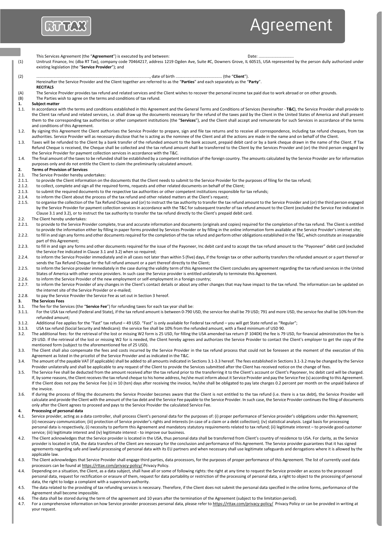

# Agreement

- This Services Agreement (the "**Agreement**") is executed by and between: Date: ............................... (1) Unitrust Finance, Inc (dba RT Tax), company code 70464217, address 1219 Ogden Ave, Suite #C, Downers Grove, IL 60515, USA represented by the person dully authorized under existing legislation (the "**Service Provider**"); and (2) ...................................................................................................., date of birth ......................................... (the "**Client**"). Hereinafter the Service Provider and the Client together are referred to as the "**Parties**" and each separately as the "**Party**". **RECITALS**  (A) The Service Provider provides tax refund and related services and the Client wishes to recover the personal income tax paid due to work abroad or on other grounds. (B) The Parties wish to agree on the terms and conditions of tax refund. **1. Subject matter 1.1.** In accordance **v** 1.1. In accordance with the terms and conditions established in this Agreement and the General Terms and Conditions of Services (hereinafter - **T&C**), the Service Provider shall provide to the Client tax refund and related services, i.e. shall draw up the documents necessary for the refund of the taxes paid by the Client in the United States of America and shall present them to the corresponding tax authorities or other competent institutions (the "**Services**"), and the Client shall accept and remunerate for such Services in accordance of the terms and conditions of this Agreement. 1.2. By signing this Agreement the Client authorises the Service Provider to prepare, sign and file tax returns and to receive all correspondence, including tax refund cheques, from tax authorities. Service Provider will as necessary disclose that he is acting as the nominee of the Client and all the actions are made in the name and on behalf of the Client. 1.3. Taxes will be refunded to the Client by a bank transfer of the refunded amount to the bank account, prepaid debit card or by a bank cheque drawn in the name of the Client. If Tax Refund Cheque is received, the Cheque shall be collected and the tax refund amount shall be transferred to the Client by the Services Provider and (or) the third person engaged by the Service Provider for payment collection services in accordance with the T&C. 1.4. The final amount of the taxes to be refunded shall be established by a competent institution of the foreign country. The amounts calculated by the Service Provider are for information purposes only and do not entitle the Client to claim the preliminarily calculated amount. **2. Terms of Provision of Services**  The Service Provider hereby undertakes: 2.1.1. to provide the Client information on the documents that the Client needs to submit to the Service Provider for the purposes of filing for the tax refund; 2.1.2. to collect, complete and sign all the required forms, requests and other related documents on behalf of the Client; 2.1.3. to submit the required documents to the respective tax authorities or other competent institutions responsible for tax refunds; 2.1.4. to inform the Client about the process of the tax refund and other related matters at the Client's request; 2.1.5. to organise the collection of the Tax Refund Cheque and (or) to instruct the tax authority to transfer the tax refund amount to the Service Provider and (or) the third person engaged by the Service Provider for payment collection services in accordance with the T&C for subsequent transfer of tax refund amount to the Client (excluded the Service Fee indicated in Clause 3.1 and 3.2), or to instruct the tax authority to transfer the tax refund directly to the Client's prepaid debit card. 2.2. The Client hereby undertakes: 2.2.1. to provide to the Service Provider complete, true and accurate information and documents (originals and copies) required for the completion of the tax refund. The Client is entitled to provide the information either by filling in paper forms provided by Services Provider or by filling in the online information form available at the Service Provider's internet site; 2.2.2. to fill in and sign any forms and other documents required for the completion of the tax refund and perform other obligations established in the T&C, which constitute an inseparable part of this Agreement; 2.2.3. to fill in and sign any forms and other documents required for the issue of the Payoneer, Inc debit card and to accept the tax refund amount to the "Payoneer" debit card (excluded the Service Fee indicated in Clause 3.1 and 3.2) when so required; 2.2.4. to inform the Service Provider immediately and in all cases not later than within 5 (five) days, if the foreign tax or other authority transfers the refunded amount or a part thereof or sends the Tax Refund Cheque for the full refund amount or a part thereof directly to the Client; 2.2.5. to inform the Service provider immediately in the case during the validity term of this Agreement the Client concludes any agreement regarding the tax refund services in the United States of America with other service providers. In such case the Service provider is entitled unilaterally to terminate this Agreement. 2.2.6. to inform the Service Provider of the new employment or self-employment in a foreign country;<br>2.2.7. to inform the Service Provider of any changes in the Client's contact details or about any other cl to inform the Service Provider of any changes in the Client's contact details or about any other changes that may have impact to the tax refund. The information can be updated on the internet site of the Service Provider or e-mailed; 2.2.8. to pay the Service Provider the Service Fee as set out in Section 3 hereof. **3. The Services Fees**  3.1. The fee for the Services (the "**Service Fee**") for refunding taxes for each tax year shall be: 3.1.1. For the USA tax refund (Federal and State), if the tax refund amount is between 0-790 USD, the service fee shall be 79 USD; 791 and more USD, the service fee shall be 10% from the refunded amount; 3.1.2. Additional Fee applies for the "Fast" tax refund -49 USD. "Fast" is only available for Federal tax refund - you will get State refund as "Regular"; 3.1.3. USA tax refund (Social Security and Medicare): the service fee shall be 10% from the refunded amount, with a fixed minimum of USD 90. 3.2. The additional fees: for the retrieval of the lost or missing W2 form is 25 USD, for filling the USA amended tax return (F 1040X) the fee is 79 USD, for financial administration the fee is 29 USD. If the retrieval of the lost or missing W2 for is needed, the Client hereby agrees and authorizes the Service Provider to contact the Client's employer to get the copy of the mentioned form (subject to the aforementioned fee of 25 USD). 3.3. The Client shall also compensate the fees and costs incurred by the Service Provider in the tax refund process that could not be foreseen at the moment of the execution of this Agreement as listed in the pricelist of the Service Provider and as indicated in the T&C. 3.4. The amount of the payable VAT (if applicable) shall be added to all amounts indicated in Sections 3.1-3.3 hereof. The fees established in Sections 3.1-3.2 may be changed by the Service Provider unilaterally and shall be applicable to any request of the Client to provide the Services submitted after the Client has received notice on the change of fees. 3.5. The Service Fee shall be deducted from the amount received after the tax refund prior to the transferring it to the Client's account or Client's Payoneer, Inc debit card will be charged. If, by some reasons, the Client receives the tax refund cheque to his home address, he/she must inform about it Service Provider and pay the Service Fee (s) according to this Agreement. If the Client does not pay the Service Fee (s) in 10 (ten) days after receiving the invoice, he/she shall be obligated to pay late charges 0.2 percent per month on the unpaid balance of the invoice. 3.6. If during the process of filing the documents the Service Provider becomes aware that the Client is not entitled to the tax refund (i.e. there is a tax debt), the Service Provider will calculate and provide the Client with the amount of the tax debt and the Service Fee payable to the Service Provider. In such case, the Service Provider continues the filing of documents
- only after the Client agrees to proceed and pays to the Service Provider the calculated Service Fee.

#### **4. Processing of personal data**

- 4.1. Service provider, acting as a data controller, shall process Client's personal data for the purposes of: (i) proper performance of Service provider's obligations under this Agreement; (ii) necessary communication; (iii) protection of Service provider's rights and interests (in case of a claim or a debt collection); (iv) statistical analysis. Legal basis for processing personal data is respectively, (i) necessity to perform this Agreement and mandatory statutory requirements related to tax refund; (ii) legitimate interest – to provide good customer service; (iii) legitimate interest and (iv) legitimate interest - to improve our business.
- 4.2. The Client acknowledges that the Service provider is located in the USA, thus personal data shall be transferred from Client's country of residence to USA. For clarity, as the Service provider is located in USA, the data transfers of the Client are necessary for the conclusion and performance of this Agreement. The Service provider guarantees that it has signed agreements regarding safe and lawful processing of personal data with its EU partners and when necessary shall use legitimate safeguards and derogations where it is allowed by the applicable law.
- 4.3. The Client acknowledges that Service Provider shall engage third parties, data processors, for the purposes of proper performance of this Agreement. The list of currently used data processors can be found a[t https://rttax.com/privacy-policy/ P](https://rttax.com/privacy-policy/)rivacy Policy.
- 4.4. Depending on a situation, the Client, as a data subject, shall have all or some of following rights: the right at any time to request the Service provider an access to the processed personal data, request for rectification or erasure of them, request for data portability or restriction of the processing of personal data, a right to object to the processing of personal data, the right to lodge a complaint with a supervisory authority.
- 4.5. The data related to the providing of tax refunding services is necessary. Therefore, if the Client does not submit the personal data specified in the online forms, performance of the Agreement shall become impossible.
- 4.6. The data shall be stored during the term of the agreement and 10 years after the termination of the Agreement (subject to the limitation period).
- 4.7. For a comprehensive information on how Service provider processes personal data, please refer t[o https://rttax.com/privacy-policy/](https://rttax.com/privacy-policy/) Privacy Policy or can be provided in writing at your request.